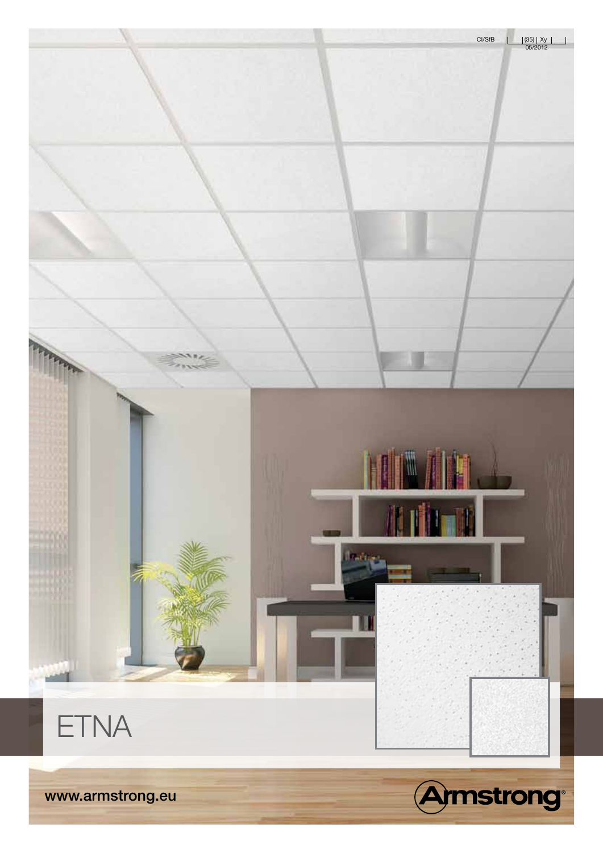www.armstrong.eu